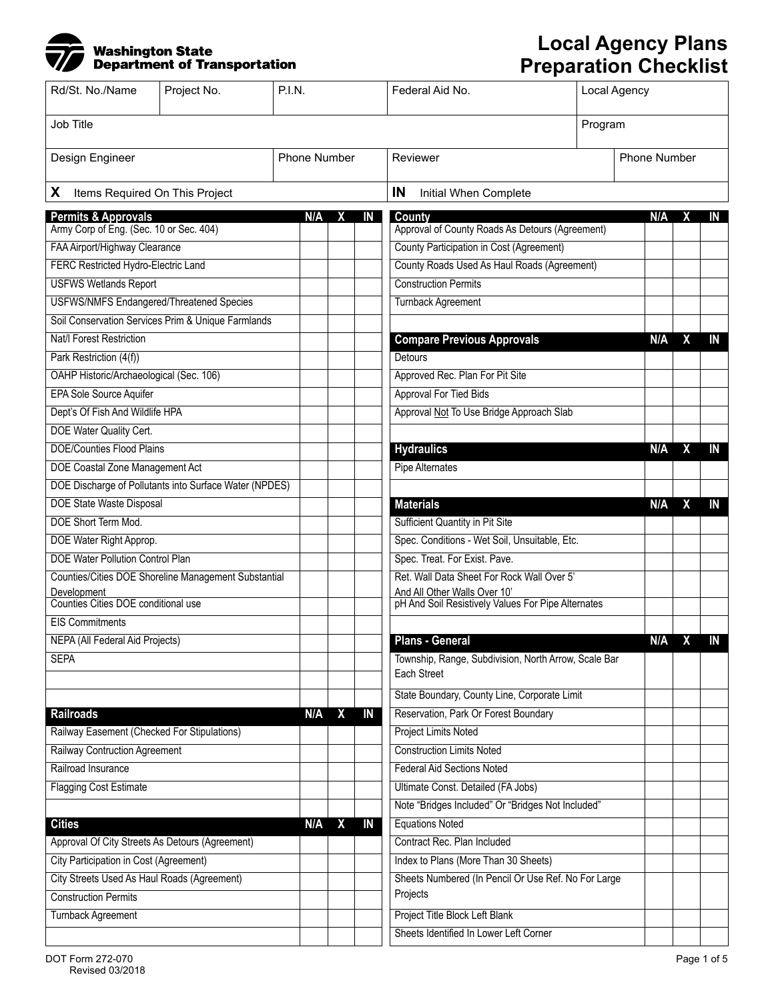## Washington State<br>Department of Transportation

## **Local Agency Plans Preparation Checklist**

| Rd/St. No./Name                                        | Project No. | <b>P.I.N.</b>       |                                 | Federal Aid No.                                                     | Local Agency |              |   |    |
|--------------------------------------------------------|-------------|---------------------|---------------------------------|---------------------------------------------------------------------|--------------|--------------|---|----|
| Job Title                                              |             |                     |                                 |                                                                     | Program      |              |   |    |
| Design Engineer                                        |             | <b>Phone Number</b> |                                 | Reviewer                                                            |              | Phone Number |   |    |
| X<br>Items Required On This Project                    |             |                     |                                 | IN<br>Initial When Complete                                         |              |              |   |    |
| <b>Permits &amp; Approvals</b>                         |             | N/A                 | IN<br>X                         | <b>County</b>                                                       |              | N/A          | х | IN |
| Army Corp of Eng. (Sec. 10 or Sec. 404)                |             |                     |                                 | Approval of County Roads As Detours (Agreement)                     |              |              |   |    |
| FAA Airport/Highway Clearance                          |             |                     |                                 | County Participation in Cost (Agreement)                            |              |              |   |    |
| FERC Restricted Hydro-Electric Land                    |             |                     |                                 | County Roads Used As Haul Roads (Agreement)                         |              |              |   |    |
| <b>USFWS Wetlands Report</b>                           |             |                     |                                 | <b>Construction Permits</b>                                         |              |              |   |    |
| <b>USFWS/NMFS Endangered/Threatened Species</b>        |             |                     |                                 | Turnback Agreement                                                  |              |              |   |    |
| Soil Conservation Services Prim & Unique Farmlands     |             |                     |                                 |                                                                     |              |              |   |    |
| Nat/I Forest Restriction                               |             |                     |                                 | <b>Compare Previous Approvals</b>                                   |              | N/A          | χ | IN |
| Park Restriction (4(f))                                |             |                     |                                 | Detours                                                             |              |              |   |    |
| OAHP Historic/Archaeological (Sec. 106)                |             |                     |                                 | Approved Rec. Plan For Pit Site                                     |              |              |   |    |
| <b>EPA Sole Source Aquifer</b>                         |             |                     |                                 | <b>Approval For Tied Bids</b>                                       |              |              |   |    |
| Dept's Of Fish And Wildlife HPA                        |             |                     |                                 | Approval Not To Use Bridge Approach Slab                            |              |              |   |    |
| DOE Water Quality Cert.                                |             |                     |                                 |                                                                     |              |              |   |    |
| <b>DOE/Counties Flood Plains</b>                       |             |                     |                                 | <b>Hydraulics</b>                                                   |              | N/A          | X | IN |
| DOE Coastal Zone Management Act                        |             |                     |                                 | Pipe Alternates                                                     |              |              |   |    |
| DOE Discharge of Pollutants into Surface Water (NPDES) |             |                     |                                 |                                                                     |              |              |   |    |
| <b>DOE State Waste Disposal</b>                        |             |                     |                                 | <b>Materials</b>                                                    |              | N/A          | χ | IN |
| DOE Short Term Mod.                                    |             |                     |                                 | <b>Sufficient Quantity in Pit Site</b>                              |              |              |   |    |
| DOE Water Right Approp.                                |             |                     |                                 | Spec. Conditions - Wet Soil, Unsuitable, Etc.                       |              |              |   |    |
| <b>DOE Water Pollution Control Plan</b>                |             |                     |                                 | Spec. Treat. For Exist. Pave.                                       |              |              |   |    |
| Counties/Cities DOE Shoreline Management Substantial   |             |                     |                                 | Ret. Wall Data Sheet For Rock Wall Over 5'                          |              |              |   |    |
| Development                                            |             |                     |                                 | And All Other Walls Over 10'                                        |              |              |   |    |
| Counties Cities DOE conditional use                    |             |                     |                                 | pH And Soil Resistively Values For Pipe Alternates                  |              |              |   |    |
| <b>EIS Commitments</b>                                 |             |                     |                                 |                                                                     |              |              |   |    |
| NEPA (All Federal Aid Projects)                        |             |                     |                                 | <b>Plans - General</b>                                              |              | N/A          |   | IN |
| <b>SEPA</b>                                            |             |                     |                                 | Township, Range, Subdivision, North Arrow, Scale Bar<br>Each Street |              |              |   |    |
|                                                        |             |                     |                                 | State Boundary, County Line, Corporate Limit                        |              |              |   |    |
| <b>Railroads</b>                                       |             | N/A                 | X<br>IN                         | Reservation, Park Or Forest Boundary                                |              |              |   |    |
| Railway Easement (Checked For Stipulations)            |             |                     |                                 | <b>Project Limits Noted</b>                                         |              |              |   |    |
| <b>Railway Contruction Agreement</b>                   |             |                     |                                 | <b>Construction Limits Noted</b>                                    |              |              |   |    |
| Railroad Insurance                                     |             |                     |                                 | <b>Federal Aid Sections Noted</b>                                   |              |              |   |    |
| <b>Flagging Cost Estimate</b>                          |             |                     |                                 | Ultimate Const. Detailed (FA Jobs)                                  |              |              |   |    |
|                                                        |             |                     |                                 | Note "Bridges Included" Or "Bridges Not Included"                   |              |              |   |    |
| <b>Cities</b>                                          |             | N/A                 | $\boldsymbol{\mathsf{X}}$<br>IN | <b>Equations Noted</b>                                              |              |              |   |    |
| Approval Of City Streets As Detours (Agreement)        |             |                     |                                 | Contract Rec. Plan Included                                         |              |              |   |    |
| <b>City Participation in Cost (Agreement)</b>          |             |                     |                                 | Index to Plans (More Than 30 Sheets)                                |              |              |   |    |
| City Streets Used As Haul Roads (Agreement)            |             |                     |                                 | Sheets Numbered (In Pencil Or Use Ref. No For Large                 |              |              |   |    |
| <b>Construction Permits</b>                            |             |                     |                                 | Projects                                                            |              |              |   |    |
| <b>Turnback Agreement</b>                              |             |                     |                                 | Project Title Block Left Blank                                      |              |              |   |    |
|                                                        |             |                     |                                 | Sheets Identified In Lower Left Corner                              |              |              |   |    |
|                                                        |             |                     |                                 |                                                                     |              |              |   |    |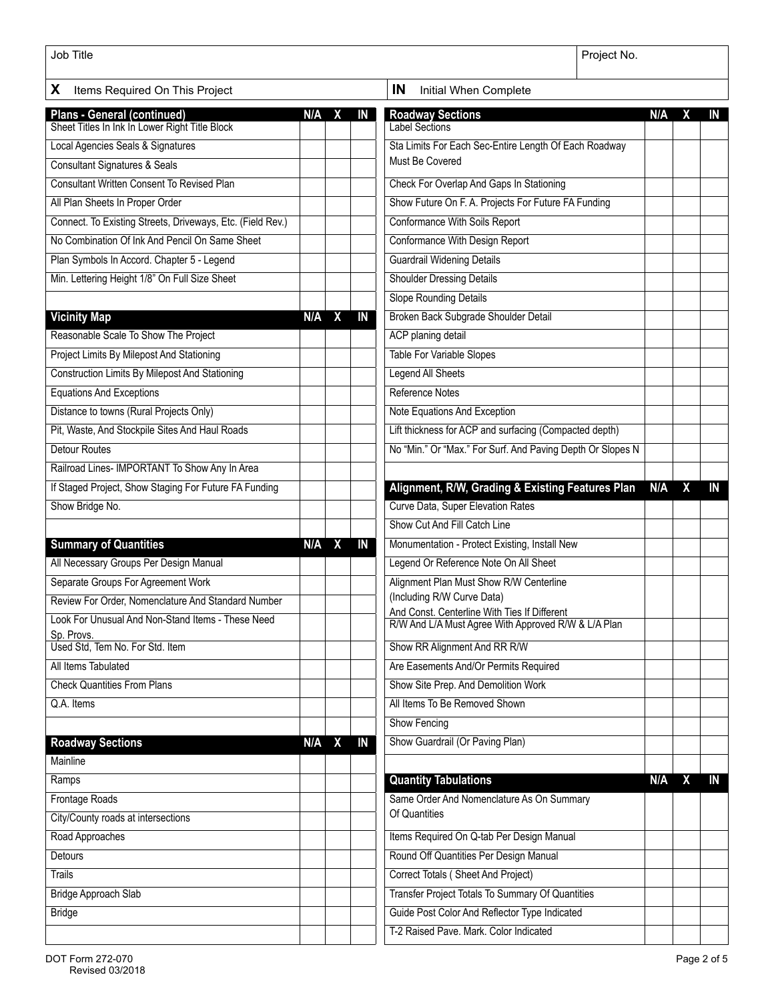| Job Title                                                                     | Project No.                 |                  |    |                                                            |  |     |   |    |
|-------------------------------------------------------------------------------|-----------------------------|------------------|----|------------------------------------------------------------|--|-----|---|----|
| X.<br>Items Required On This Project                                          | IN<br>Initial When Complete |                  |    |                                                            |  |     |   |    |
|                                                                               | N/A                         | X                | IN | <b>Roadway Sections</b>                                    |  | N/A | X | IN |
| Plans - General (continued)<br>Sheet Titles In Ink In Lower Right Title Block |                             |                  |    | <b>Label Sections</b>                                      |  |     |   |    |
| Local Agencies Seals & Signatures                                             |                             |                  |    | Sta Limits For Each Sec-Entire Length Of Each Roadway      |  |     |   |    |
| <b>Consultant Signatures &amp; Seals</b>                                      |                             |                  |    | Must Be Covered                                            |  |     |   |    |
| <b>Consultant Written Consent To Revised Plan</b>                             |                             |                  |    | Check For Overlap And Gaps In Stationing                   |  |     |   |    |
| All Plan Sheets In Proper Order                                               |                             |                  |    | Show Future On F. A. Projects For Future FA Funding        |  |     |   |    |
| Connect. To Existing Streets, Driveways, Etc. (Field Rev.)                    |                             |                  |    | Conformance With Soils Report                              |  |     |   |    |
| No Combination Of Ink And Pencil On Same Sheet                                |                             |                  |    | <b>Conformance With Design Report</b>                      |  |     |   |    |
| Plan Symbols In Accord. Chapter 5 - Legend                                    |                             |                  |    | <b>Guardrail Widening Details</b>                          |  |     |   |    |
| Min. Lettering Height 1/8" On Full Size Sheet                                 |                             |                  |    | <b>Shoulder Dressing Details</b>                           |  |     |   |    |
|                                                                               |                             |                  |    | <b>Slope Rounding Details</b>                              |  |     |   |    |
| <b>Vicinity Map</b>                                                           | N/A                         | $\boldsymbol{X}$ | IN | Broken Back Subgrade Shoulder Detail                       |  |     |   |    |
| Reasonable Scale To Show The Project                                          |                             |                  |    | <b>ACP</b> planing detail                                  |  |     |   |    |
| <b>Project Limits By Milepost And Stationing</b>                              |                             |                  |    | <b>Table For Variable Slopes</b>                           |  |     |   |    |
| <b>Construction Limits By Milepost And Stationing</b>                         |                             |                  |    | <b>Legend All Sheets</b>                                   |  |     |   |    |
| <b>Equations And Exceptions</b>                                               |                             |                  |    | <b>Reference Notes</b>                                     |  |     |   |    |
| Distance to towns (Rural Projects Only)                                       |                             |                  |    | Note Equations And Exception                               |  |     |   |    |
| Pit, Waste, And Stockpile Sites And Haul Roads                                |                             |                  |    | Lift thickness for ACP and surfacing (Compacted depth)     |  |     |   |    |
| <b>Detour Routes</b>                                                          |                             |                  |    | No "Min." Or "Max." For Surf. And Paving Depth Or Slopes N |  |     |   |    |
| Railroad Lines- IMPORTANT To Show Any In Area                                 |                             |                  |    |                                                            |  |     |   |    |
| If Staged Project, Show Staging For Future FA Funding                         |                             |                  |    | Alignment, R/W, Grading & Existing Features Plan           |  | N/A | X | IN |
| Show Bridge No.                                                               |                             |                  |    | Curve Data, Super Elevation Rates                          |  |     |   |    |
|                                                                               |                             |                  |    | Show Cut And Fill Catch Line                               |  |     |   |    |
| <b>Summary of Quantities</b>                                                  | N/A                         | $\mathbf{x}$     | IN | Monumentation - Protect Existing, Install New              |  |     |   |    |
| All Necessary Groups Per Design Manual                                        |                             |                  |    | Legend Or Reference Note On All Sheet                      |  |     |   |    |
| Separate Groups For Agreement Work                                            |                             |                  |    | Alignment Plan Must Show R/W Centerline                    |  |     |   |    |
| Review For Order, Nomenclature And Standard Number                            |                             |                  |    | (Including R/W Curve Data)                                 |  |     |   |    |
| Look For Unusual And Non-Stand Items - These Need                             |                             |                  |    | And Const. Centerline With Ties If Different               |  |     |   |    |
| Sp. Provs.                                                                    |                             |                  |    | R/W And L/A Must Agree With Approved R/W & L/A Plan        |  |     |   |    |
| Used Std, Tem No. For Std. Item                                               |                             |                  |    | Show RR Alignment And RR R/W                               |  |     |   |    |
| All Items Tabulated                                                           |                             |                  |    | Are Easements And/Or Permits Required                      |  |     |   |    |
| <b>Check Quantities From Plans</b>                                            |                             |                  |    | Show Site Prep. And Demolition Work                        |  |     |   |    |
| Q.A. Items                                                                    |                             |                  |    | All Items To Be Removed Shown                              |  |     |   |    |
|                                                                               |                             |                  |    | <b>Show Fencing</b>                                        |  |     |   |    |
| <b>Roadway Sections</b>                                                       | $N/A$ $X$                   |                  | IN | Show Guardrail (Or Paving Plan)                            |  |     |   |    |
| Mainline                                                                      |                             |                  |    |                                                            |  |     |   |    |
| Ramps                                                                         |                             |                  |    | <b>Quantity Tabulations</b>                                |  | N/A | X | IN |
| Frontage Roads                                                                |                             |                  |    | Same Order And Nomenclature As On Summary                  |  |     |   |    |
| City/County roads at intersections                                            |                             |                  |    | Of Quantities                                              |  |     |   |    |
| Road Approaches                                                               |                             |                  |    | Items Required On Q-tab Per Design Manual                  |  |     |   |    |
| Detours                                                                       |                             |                  |    | Round Off Quantities Per Design Manual                     |  |     |   |    |
| Trails                                                                        |                             |                  |    | Correct Totals (Sheet And Project)                         |  |     |   |    |
| <b>Bridge Approach Slab</b>                                                   |                             |                  |    | <b>Transfer Project Totals To Summary Of Quantities</b>    |  |     |   |    |
| Bridge                                                                        |                             |                  |    | Guide Post Color And Reflector Type Indicated              |  |     |   |    |
|                                                                               |                             |                  |    | T-2 Raised Pave. Mark. Color Indicated                     |  |     |   |    |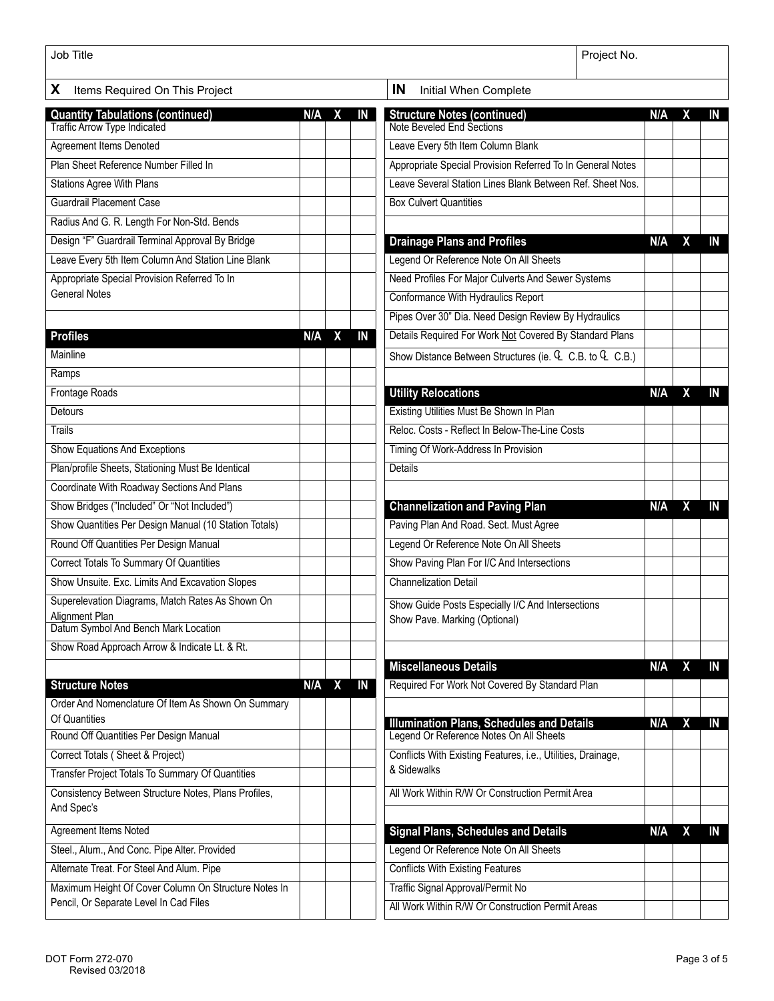| Job Title                                               | Project No. |                             |    |                                                                                             |     |                         |    |  |
|---------------------------------------------------------|-------------|-----------------------------|----|---------------------------------------------------------------------------------------------|-----|-------------------------|----|--|
| X<br>Items Required On This Project                     |             | IN<br>Initial When Complete |    |                                                                                             |     |                         |    |  |
| <b>Quantity Tabulations (continued)</b>                 | N/A         | X                           | IN | <b>Structure Notes (continued)</b>                                                          | N/A | X                       | IN |  |
| Traffic Arrow Type Indicated                            |             |                             |    | Note Beveled End Sections                                                                   |     |                         |    |  |
| <b>Agreement Items Denoted</b>                          |             |                             |    | Leave Every 5th Item Column Blank                                                           |     |                         |    |  |
| Plan Sheet Reference Number Filled In                   |             |                             |    | Appropriate Special Provision Referred To In General Notes                                  |     |                         |    |  |
| <b>Stations Agree With Plans</b>                        |             |                             |    | Leave Several Station Lines Blank Between Ref. Sheet Nos.                                   |     |                         |    |  |
| <b>Guardrail Placement Case</b>                         |             |                             |    | <b>Box Culvert Quantities</b>                                                               |     |                         |    |  |
| Radius And G. R. Length For Non-Std. Bends              |             |                             |    |                                                                                             |     |                         |    |  |
| Design "F" Guardrail Terminal Approval By Bridge        |             |                             |    | <b>Drainage Plans and Profiles</b>                                                          | N/A | X                       | IN |  |
| Leave Every 5th Item Column And Station Line Blank      |             |                             |    | Legend Or Reference Note On All Sheets                                                      |     |                         |    |  |
| Appropriate Special Provision Referred To In            |             |                             |    | Need Profiles For Major Culverts And Sewer Systems                                          |     |                         |    |  |
| <b>General Notes</b>                                    |             |                             |    | Conformance With Hydraulics Report                                                          |     |                         |    |  |
|                                                         |             |                             |    | Pipes Over 30" Dia. Need Design Review By Hydraulics                                        |     |                         |    |  |
| <b>Profiles</b>                                         | $N/A$ $X$   |                             | IN | Details Required For Work Not Covered By Standard Plans                                     |     |                         |    |  |
| Mainline                                                |             |                             |    | Show Distance Between Structures (ie. C.B. to C.B.)                                         |     |                         |    |  |
| Ramps                                                   |             |                             |    |                                                                                             |     |                         |    |  |
| <b>Frontage Roads</b>                                   |             |                             |    | <b>Utility Relocations</b>                                                                  | N/A | X                       | IN |  |
| <b>Detours</b>                                          |             |                             |    | Existing Utilities Must Be Shown In Plan                                                    |     |                         |    |  |
| <b>Trails</b>                                           |             |                             |    | Reloc. Costs - Reflect In Below-The-Line Costs                                              |     |                         |    |  |
| Show Equations And Exceptions                           |             |                             |    | Timing Of Work-Address In Provision                                                         |     |                         |    |  |
| Plan/profile Sheets, Stationing Must Be Identical       |             |                             |    | <b>Details</b>                                                                              |     |                         |    |  |
| Coordinate With Roadway Sections And Plans              |             |                             |    |                                                                                             |     |                         |    |  |
| Show Bridges ("Included" Or "Not Included")             |             |                             |    | <b>Channelization and Paving Plan</b>                                                       | N/A | X                       | IN |  |
| Show Quantities Per Design Manual (10 Station Totals)   |             |                             |    | Paving Plan And Road. Sect. Must Agree                                                      |     |                         |    |  |
| Round Off Quantities Per Design Manual                  |             |                             |    | Legend Or Reference Note On All Sheets                                                      |     |                         |    |  |
| <b>Correct Totals To Summary Of Quantities</b>          |             |                             |    | Show Paving Plan For I/C And Intersections                                                  |     |                         |    |  |
| Show Unsuite. Exc. Limits And Excavation Slopes         |             |                             |    | <b>Channelization Detail</b>                                                                |     |                         |    |  |
| Superelevation Diagrams, Match Rates As Shown On        |             |                             |    | Show Guide Posts Especially I/C And Intersections                                           |     |                         |    |  |
| Alignment Plan                                          |             |                             |    | Show Pave. Marking (Optional)                                                               |     |                         |    |  |
| Datum Symbol And Bench Mark Location                    |             |                             |    |                                                                                             |     |                         |    |  |
| Show Road Approach Arrow & Indicate Lt. & Rt.           |             |                             |    |                                                                                             |     |                         |    |  |
|                                                         |             |                             |    | <b>Miscellaneous Details</b>                                                                | N/A | X                       | IN |  |
| <b>Structure Notes</b>                                  | $N/A$ $X$   |                             | IN | Required For Work Not Covered By Standard Plan                                              |     |                         |    |  |
| Order And Nomenclature Of Item As Shown On Summary      |             |                             |    |                                                                                             |     |                         |    |  |
| Of Quantities<br>Round Off Quantities Per Design Manual |             |                             |    | <b>Illumination Plans, Schedules and Details</b><br>Legend Or Reference Notes On All Sheets | N/A | X                       | IN |  |
| Correct Totals (Sheet & Project)                        |             |                             |    | Conflicts With Existing Features, i.e., Utilities, Drainage,                                |     |                         |    |  |
| Transfer Project Totals To Summary Of Quantities        |             |                             |    | & Sidewalks                                                                                 |     |                         |    |  |
| Consistency Between Structure Notes, Plans Profiles,    |             |                             |    | All Work Within R/W Or Construction Permit Area                                             |     |                         |    |  |
| And Spec's                                              |             |                             |    |                                                                                             |     |                         |    |  |
| <b>Agreement Items Noted</b>                            |             |                             |    | <b>Signal Plans, Schedules and Details</b>                                                  | N/A | $\overline{\mathbf{X}}$ | IN |  |
| Steel., Alum., And Conc. Pipe Alter. Provided           |             |                             |    | Legend Or Reference Note On All Sheets                                                      |     |                         |    |  |
| Alternate Treat. For Steel And Alum. Pipe               |             |                             |    | <b>Conflicts With Existing Features</b>                                                     |     |                         |    |  |
| Maximum Height Of Cover Column On Structure Notes In    |             |                             |    | Traffic Signal Approval/Permit No                                                           |     |                         |    |  |
| Pencil, Or Separate Level In Cad Files                  |             |                             |    | All Work Within R/W Or Construction Permit Areas                                            |     |                         |    |  |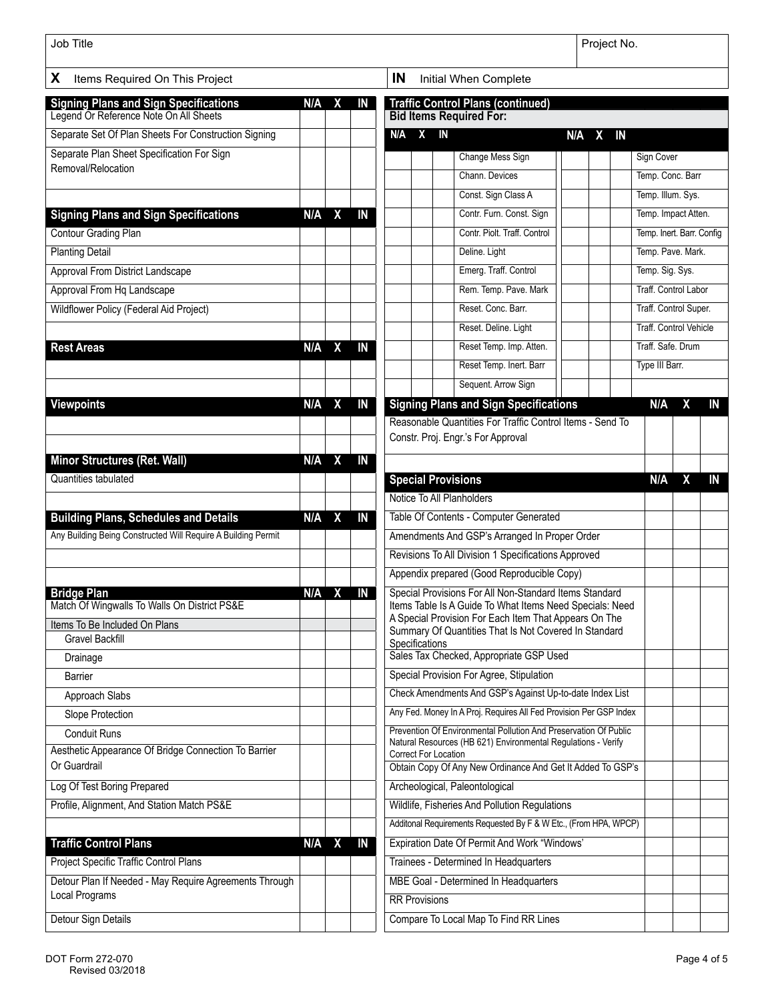| Job Title                                                                              |     |                         |                |     |                                                                                         |                                                                                                                                   | Project No.         |           |                               |                       |    |
|----------------------------------------------------------------------------------------|-----|-------------------------|----------------|-----|-----------------------------------------------------------------------------------------|-----------------------------------------------------------------------------------------------------------------------------------|---------------------|-----------|-------------------------------|-----------------------|----|
| X<br>Items Required On This Project                                                    |     |                         |                | IN  |                                                                                         | Initial When Complete                                                                                                             |                     |           |                               |                       |    |
| <b>Signing Plans and Sign Specifications</b><br>Legend Or Reference Note On All Sheets | N/A | $\mathbf{X}$            | IN             |     |                                                                                         | <b>Traffic Control Plans (continued)</b><br><b>Bid Items Required For:</b>                                                        |                     |           |                               |                       |    |
| Separate Set Of Plan Sheets For Construction Signing                                   |     |                         |                | N/A | X                                                                                       | IN                                                                                                                                | N/A<br>$\mathbf{x}$ | <b>IN</b> |                               |                       |    |
| Separate Plan Sheet Specification For Sign                                             |     |                         |                |     |                                                                                         | Change Mess Sign                                                                                                                  |                     |           | Sign Cover                    |                       |    |
| Removal/Relocation                                                                     |     |                         |                |     |                                                                                         | Chann. Devices                                                                                                                    |                     |           | Temp. Conc. Barr              |                       |    |
|                                                                                        |     |                         |                |     |                                                                                         | Const. Sign Class A                                                                                                               |                     |           | Temp. Illum. Sys.             |                       |    |
| <b>Signing Plans and Sign Specifications</b>                                           | N/A | $\overline{\mathbf{x}}$ | IN             |     |                                                                                         | Contr. Furn. Const. Sign                                                                                                          |                     |           | Temp. Impact Atten.           |                       |    |
| <b>Contour Grading Plan</b>                                                            |     |                         |                |     |                                                                                         | Contr. Piolt. Traff. Control                                                                                                      |                     |           | Temp. Inert. Barr. Config     |                       |    |
| <b>Planting Detail</b>                                                                 |     |                         |                |     |                                                                                         | Deline. Light                                                                                                                     |                     |           | Temp. Pave. Mark.             |                       |    |
| Approval From District Landscape                                                       |     |                         |                |     |                                                                                         | Emerg. Traff. Control                                                                                                             |                     |           | Temp. Sig. Sys.               |                       |    |
| Approval From Hq Landscape                                                             |     |                         |                |     |                                                                                         | Rem. Temp. Pave. Mark                                                                                                             |                     |           | <b>Traff. Control Labor</b>   |                       |    |
| <b>Wildflower Policy (Federal Aid Project)</b>                                         |     |                         |                |     |                                                                                         | Reset, Conc. Barr.                                                                                                                |                     |           |                               | Traff. Control Super. |    |
|                                                                                        |     |                         |                |     |                                                                                         | Reset. Deline. Light                                                                                                              |                     |           | <b>Traff. Control Vehicle</b> |                       |    |
| <b>Rest Areas</b>                                                                      |     | $N/A$ $X$               | $\overline{M}$ |     |                                                                                         | Reset Temp. Imp. Atten.                                                                                                           |                     |           | Traff, Safe, Drum             |                       |    |
|                                                                                        |     |                         |                |     |                                                                                         | Reset Temp. Inert. Barr                                                                                                           |                     |           | Type III Barr.                |                       |    |
|                                                                                        |     |                         |                |     |                                                                                         | Sequent. Arrow Sign                                                                                                               |                     |           |                               |                       |    |
| <b>Viewpoints</b>                                                                      | N/A | $\boldsymbol{X}$        | IN             |     |                                                                                         | <b>Signing Plans and Sign Specifications</b><br>Reasonable Quantities For Traffic Control Items - Send To                         |                     |           | N/A                           | х                     | IN |
|                                                                                        |     |                         |                |     |                                                                                         | Constr. Proj. Engr.'s For Approval                                                                                                |                     |           |                               |                       |    |
| Minor Structures (Ret. Wall)                                                           |     | N/A X                   | IN             |     |                                                                                         |                                                                                                                                   |                     |           |                               |                       |    |
| Quantities tabulated                                                                   |     |                         |                |     |                                                                                         | <b>Special Provisions</b>                                                                                                         |                     |           | N/A                           | X                     | IN |
|                                                                                        |     |                         |                |     |                                                                                         | Notice To All Planholders                                                                                                         |                     |           |                               |                       |    |
| <b>Building Plans, Schedules and Details</b>                                           | N/A | $\mathbf{X}$            | IN             |     | Table Of Contents - Computer Generated<br>Amendments And GSP's Arranged In Proper Order |                                                                                                                                   |                     |           |                               |                       |    |
| Any Building Being Constructed Will Require A Building Permit                          |     |                         |                |     |                                                                                         |                                                                                                                                   |                     |           |                               |                       |    |
|                                                                                        |     |                         |                |     |                                                                                         | Revisions To All Division 1 Specifications Approved                                                                               |                     |           |                               |                       |    |
|                                                                                        |     |                         |                |     |                                                                                         | Appendix prepared (Good Reproducible Copy)<br>Special Provisions For All Non-Standard Items Standard                              |                     |           |                               |                       |    |
| <b>Bridge Plan</b><br>Match Of Wingwalls To Walls On District PS&E                     |     | N/A X IN                |                |     |                                                                                         | Items Table Is A Guide To What Items Need Specials: Need                                                                          |                     |           |                               |                       |    |
| Items To Be Included On Plans                                                          |     |                         |                |     |                                                                                         | A Special Provision For Each Item That Appears On The<br>Summary Of Quantities That Is Not Covered In Standard                    |                     |           |                               |                       |    |
| <b>Gravel Backfill</b>                                                                 |     |                         |                |     | Specifications                                                                          |                                                                                                                                   |                     |           |                               |                       |    |
| Drainage                                                                               |     |                         |                |     |                                                                                         | Sales Tax Checked, Appropriate GSP Used                                                                                           |                     |           |                               |                       |    |
| Barrier                                                                                |     |                         |                |     |                                                                                         | Special Provision For Agree, Stipulation                                                                                          |                     |           |                               |                       |    |
| Approach Slabs                                                                         |     |                         |                |     |                                                                                         | Check Amendments And GSP's Against Up-to-date Index List                                                                          |                     |           |                               |                       |    |
| Slope Protection                                                                       |     |                         |                |     |                                                                                         | Any Fed. Money In A Proj. Requires All Fed Provision Per GSP Index                                                                |                     |           |                               |                       |    |
| <b>Conduit Runs</b>                                                                    |     |                         |                |     |                                                                                         | Prevention Of Environmental Pollution And Preservation Of Public<br>Natural Resources (HB 621) Environmental Regulations - Verify |                     |           |                               |                       |    |
| Aesthetic Appearance Of Bridge Connection To Barrier<br>Or Guardrail                   |     |                         |                |     | Correct For Location                                                                    |                                                                                                                                   |                     |           |                               |                       |    |
|                                                                                        |     |                         |                |     |                                                                                         | Obtain Copy Of Any New Ordinance And Get It Added To GSP's                                                                        |                     |           |                               |                       |    |
| Log Of Test Boring Prepared                                                            |     |                         |                |     |                                                                                         | Archeological, Paleontological                                                                                                    |                     |           |                               |                       |    |
| Profile, Alignment, And Station Match PS&E                                             |     |                         |                |     |                                                                                         | Wildlife, Fisheries And Pollution Regulations                                                                                     |                     |           |                               |                       |    |
|                                                                                        |     |                         |                |     |                                                                                         | Additonal Requirements Requested By F & W Etc., (From HPA, WPCP)                                                                  |                     |           |                               |                       |    |
| <b>Traffic Control Plans</b>                                                           |     | $N/A$ $X$               | IN             |     |                                                                                         | Expiration Date Of Permit And Work "Windows"                                                                                      |                     |           |                               |                       |    |
| Project Specific Traffic Control Plans                                                 |     |                         |                |     |                                                                                         | Trainees - Determined In Headquarters                                                                                             |                     |           |                               |                       |    |
| Detour Plan If Needed - May Require Agreements Through<br>Local Programs               |     |                         |                |     |                                                                                         | MBE Goal - Determined In Headquarters                                                                                             |                     |           |                               |                       |    |
|                                                                                        |     |                         |                |     | <b>RR Provisions</b>                                                                    |                                                                                                                                   |                     |           |                               |                       |    |
| Detour Sign Details                                                                    |     |                         |                |     |                                                                                         | Compare To Local Map To Find RR Lines                                                                                             |                     |           |                               |                       |    |